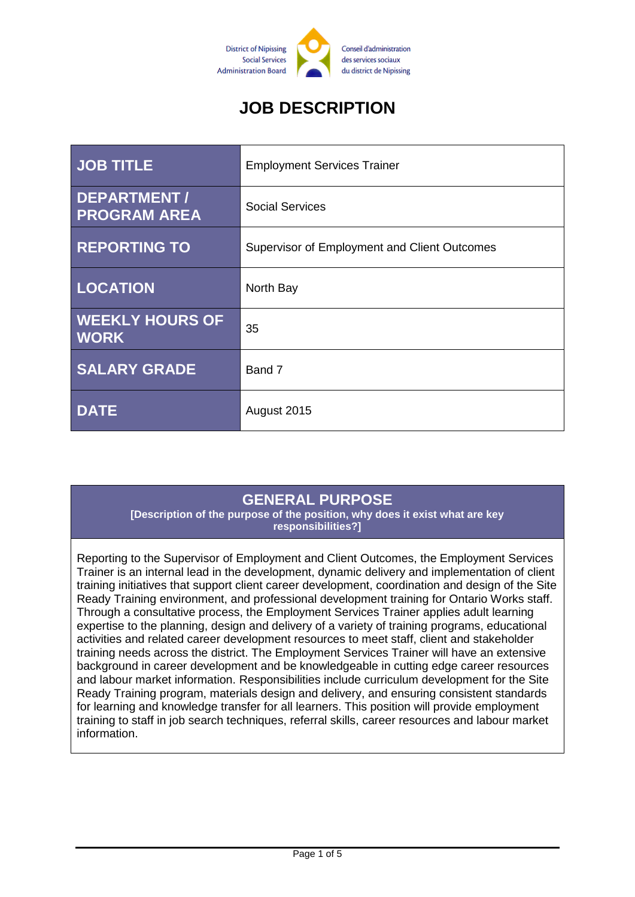

# **JOB DESCRIPTION**

| <b>JOB TITLE</b>                      | <b>Employment Services Trainer</b>           |
|---------------------------------------|----------------------------------------------|
| DEPARTMENT /<br><b>PROGRAM AREA</b>   | <b>Social Services</b>                       |
| <b>REPORTING TO</b>                   | Supervisor of Employment and Client Outcomes |
| <b>LOCATION</b>                       | North Bay                                    |
| <b>WEEKLY HOURS OF</b><br><b>WORK</b> | 35                                           |
| <b>SALARY GRADE</b>                   | Band 7                                       |
| <b>DATE</b>                           | August 2015                                  |

#### **GENERAL PURPOSE**

**[Description of the purpose of the position, why does it exist what are key responsibilities?]**

Reporting to the Supervisor of Employment and Client Outcomes, the Employment Services Trainer is an internal lead in the development, dynamic delivery and implementation of client training initiatives that support client career development, coordination and design of the Site Ready Training environment, and professional development training for Ontario Works staff. Through a consultative process, the Employment Services Trainer applies adult learning expertise to the planning, design and delivery of a variety of training programs, educational activities and related career development resources to meet staff, client and stakeholder training needs across the district. The Employment Services Trainer will have an extensive background in career development and be knowledgeable in cutting edge career resources and labour market information. Responsibilities include curriculum development for the Site Ready Training program, materials design and delivery, and ensuring consistent standards for learning and knowledge transfer for all learners. This position will provide employment training to staff in job search techniques, referral skills, career resources and labour market information.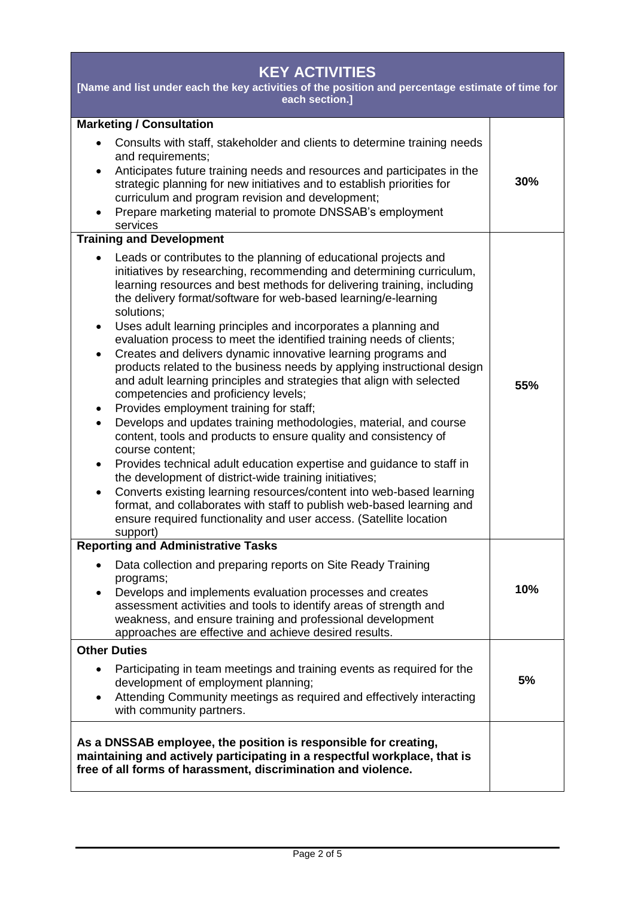| <b>KEY ACTIVITIES</b><br>[Name and list under each the key activities of the position and percentage estimate of time for<br>each section.]                                                                                                                                                                                                                                                                                                                                                                                                                                                                                                                                                                                                                                                                                                                                                                                                                                                                                                                                                                                                                                                              |     |  |
|----------------------------------------------------------------------------------------------------------------------------------------------------------------------------------------------------------------------------------------------------------------------------------------------------------------------------------------------------------------------------------------------------------------------------------------------------------------------------------------------------------------------------------------------------------------------------------------------------------------------------------------------------------------------------------------------------------------------------------------------------------------------------------------------------------------------------------------------------------------------------------------------------------------------------------------------------------------------------------------------------------------------------------------------------------------------------------------------------------------------------------------------------------------------------------------------------------|-----|--|
| <b>Marketing / Consultation</b><br>Consults with staff, stakeholder and clients to determine training needs<br>and requirements;<br>Anticipates future training needs and resources and participates in the<br>$\bullet$<br>strategic planning for new initiatives and to establish priorities for<br>curriculum and program revision and development;<br>Prepare marketing material to promote DNSSAB's employment<br>$\bullet$<br>services                                                                                                                                                                                                                                                                                                                                                                                                                                                                                                                                                                                                                                                                                                                                                             | 30% |  |
| <b>Training and Development</b><br>Leads or contributes to the planning of educational projects and<br>initiatives by researching, recommending and determining curriculum,                                                                                                                                                                                                                                                                                                                                                                                                                                                                                                                                                                                                                                                                                                                                                                                                                                                                                                                                                                                                                              |     |  |
| learning resources and best methods for delivering training, including<br>the delivery format/software for web-based learning/e-learning<br>solutions;<br>Uses adult learning principles and incorporates a planning and<br>$\bullet$<br>evaluation process to meet the identified training needs of clients;<br>Creates and delivers dynamic innovative learning programs and<br>$\bullet$<br>products related to the business needs by applying instructional design<br>and adult learning principles and strategies that align with selected<br>competencies and proficiency levels;<br>Provides employment training for staff;<br>٠<br>Develops and updates training methodologies, material, and course<br>$\bullet$<br>content, tools and products to ensure quality and consistency of<br>course content;<br>Provides technical adult education expertise and guidance to staff in<br>٠<br>the development of district-wide training initiatives;<br>Converts existing learning resources/content into web-based learning<br>$\bullet$<br>format, and collaborates with staff to publish web-based learning and<br>ensure required functionality and user access. (Satellite location<br>support) | 55% |  |
| <b>Reporting and Administrative Tasks</b><br>Data collection and preparing reports on Site Ready Training<br>$\bullet$<br>programs;<br>Develops and implements evaluation processes and creates<br>$\bullet$<br>assessment activities and tools to identify areas of strength and<br>weakness, and ensure training and professional development<br>approaches are effective and achieve desired results.                                                                                                                                                                                                                                                                                                                                                                                                                                                                                                                                                                                                                                                                                                                                                                                                 | 10% |  |
| <b>Other Duties</b>                                                                                                                                                                                                                                                                                                                                                                                                                                                                                                                                                                                                                                                                                                                                                                                                                                                                                                                                                                                                                                                                                                                                                                                      |     |  |
| Participating in team meetings and training events as required for the<br>$\bullet$<br>development of employment planning;<br>Attending Community meetings as required and effectively interacting<br>$\bullet$<br>with community partners.                                                                                                                                                                                                                                                                                                                                                                                                                                                                                                                                                                                                                                                                                                                                                                                                                                                                                                                                                              | 5%  |  |
| As a DNSSAB employee, the position is responsible for creating,<br>maintaining and actively participating in a respectful workplace, that is<br>free of all forms of harassment, discrimination and violence.                                                                                                                                                                                                                                                                                                                                                                                                                                                                                                                                                                                                                                                                                                                                                                                                                                                                                                                                                                                            |     |  |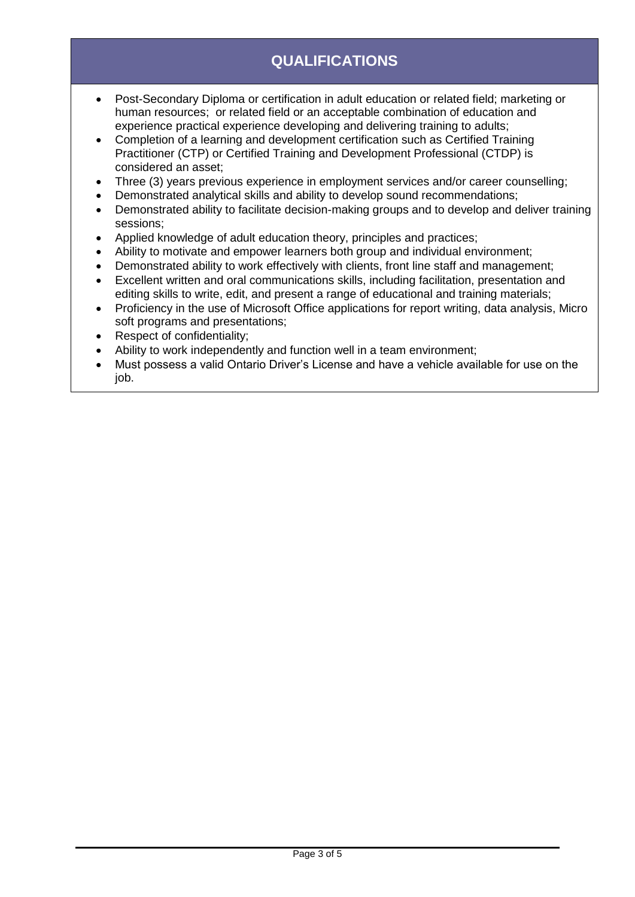# **QUALIFICATIONS**

- Post-Secondary Diploma or certification in adult education or related field; marketing or human resources; or related field or an acceptable combination of education and experience practical experience developing and delivering training to adults;
- Completion of a learning and development certification such as Certified Training Practitioner (CTP) or Certified Training and Development Professional (CTDP) is considered an asset;
- Three (3) years previous experience in employment services and/or career counselling;
- Demonstrated analytical skills and ability to develop sound recommendations;
- Demonstrated ability to facilitate decision-making groups and to develop and deliver training sessions;
- Applied knowledge of adult education theory, principles and practices;
- Ability to motivate and empower learners both group and individual environment;
- Demonstrated ability to work effectively with clients, front line staff and management;
- Excellent written and oral communications skills, including facilitation, presentation and editing skills to write, edit, and present a range of educational and training materials;
- Proficiency in the use of Microsoft Office applications for report writing, data analysis, Micro soft programs and presentations;
- Respect of confidentiality;
- Ability to work independently and function well in a team environment;
- Must possess a valid Ontario Driver's License and have a vehicle available for use on the job.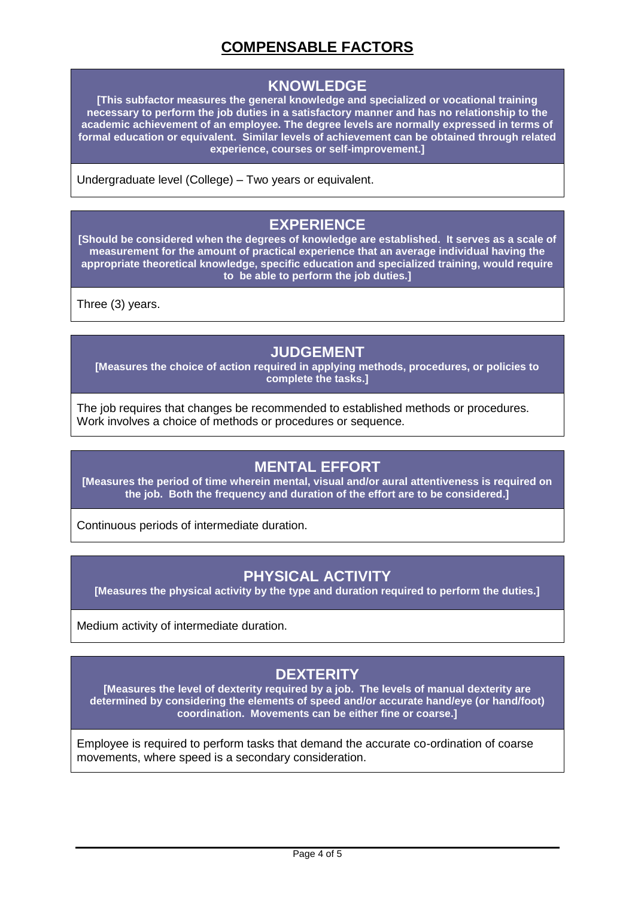# **COMPENSABLE FACTORS**

#### **KNOWLEDGE**

**[This subfactor measures the general knowledge and specialized or vocational training necessary to perform the job duties in a satisfactory manner and has no relationship to the academic achievement of an employee. The degree levels are normally expressed in terms of formal education or equivalent. Similar levels of achievement can be obtained through related experience, courses or self-improvement.]**

Undergraduate level (College) – Two years or equivalent.

#### **EXPERIENCE**

**[Should be considered when the degrees of knowledge are established. It serves as a scale of measurement for the amount of practical experience that an average individual having the appropriate theoretical knowledge, specific education and specialized training, would require to be able to perform the job duties.]**

Three (3) years.

#### **JUDGEMENT**

**[Measures the choice of action required in applying methods, procedures, or policies to complete the tasks.]**

The job requires that changes be recommended to established methods or procedures. Work involves a choice of methods or procedures or sequence.

#### **MENTAL EFFORT**

**[Measures the period of time wherein mental, visual and/or aural attentiveness is required on the job. Both the frequency and duration of the effort are to be considered.]**

Continuous periods of intermediate duration.

#### **PHYSICAL ACTIVITY**

**[Measures the physical activity by the type and duration required to perform the duties.]**

Medium activity of intermediate duration.

# **DEXTERITY**

**[Measures the level of dexterity required by a job. The levels of manual dexterity are determined by considering the elements of speed and/or accurate hand/eye (or hand/foot) coordination. Movements can be either fine or coarse.]**

Employee is required to perform tasks that demand the accurate co-ordination of coarse movements, where speed is a secondary consideration.